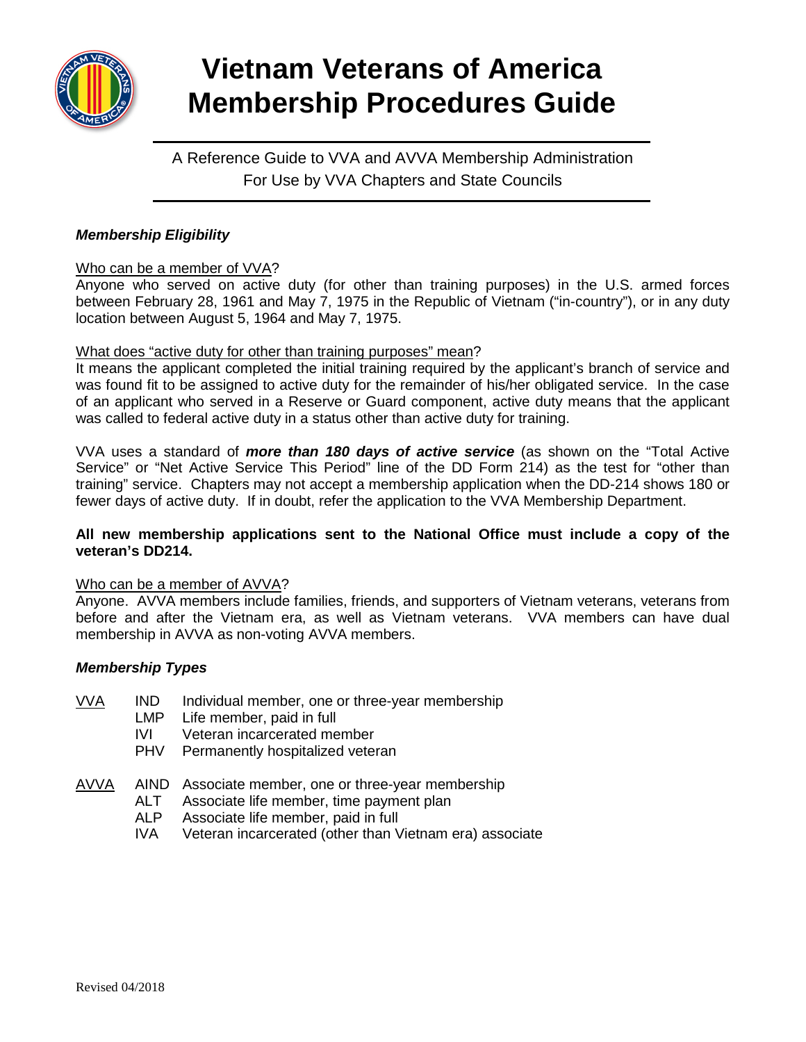

# **Vietnam Veterans of America Membership Procedures Guide**

A Reference Guide to VVA and AVVA Membership Administration For Use by VVA Chapters and State Councils

# *Membership Eligibility*

## Who can be a member of VVA?

Anyone who served on active duty (for other than training purposes) in the U.S. armed forces between February 28, 1961 and May 7, 1975 in the Republic of Vietnam ("in-country"), or in any duty location between August 5, 1964 and May 7, 1975.

# What does "active duty for other than training purposes" mean?

It means the applicant completed the initial training required by the applicant's branch of service and was found fit to be assigned to active duty for the remainder of his/her obligated service. In the case of an applicant who served in a Reserve or Guard component, active duty means that the applicant was called to federal active duty in a status other than active duty for training.

VVA uses a standard of *more than 180 days of active service* (as shown on the "Total Active Service" or "Net Active Service This Period" line of the DD Form 214) as the test for "other than training" service. Chapters may not accept a membership application when the DD-214 shows 180 or fewer days of active duty. If in doubt, refer the application to the VVA Membership Department.

## **All new membership applications sent to the National Office must include a copy of the veteran's DD214.**

## Who can be a member of AVVA?

Anyone. AVVA members include families, friends, and supporters of Vietnam veterans, veterans from before and after the Vietnam era, as well as Vietnam veterans. VVA members can have dual membership in AVVA as non-voting AVVA members.

# *Membership Types*

- VVA IND Individual member, one or three-year membership<br>LMP Life member, paid in full
	- LMP Life member, paid in full<br>IVI Veteran incarcerated me
	- Veteran incarcerated member
	- PHV Permanently hospitalized veteran
- AVVA AIND Associate member, one or three-year membership
	- ALT Associate life member, time payment plan
	- ALP Associate life member, paid in full<br>IVA Veteran incarcerated (other than V
	- Veteran incarcerated (other than Vietnam era) associate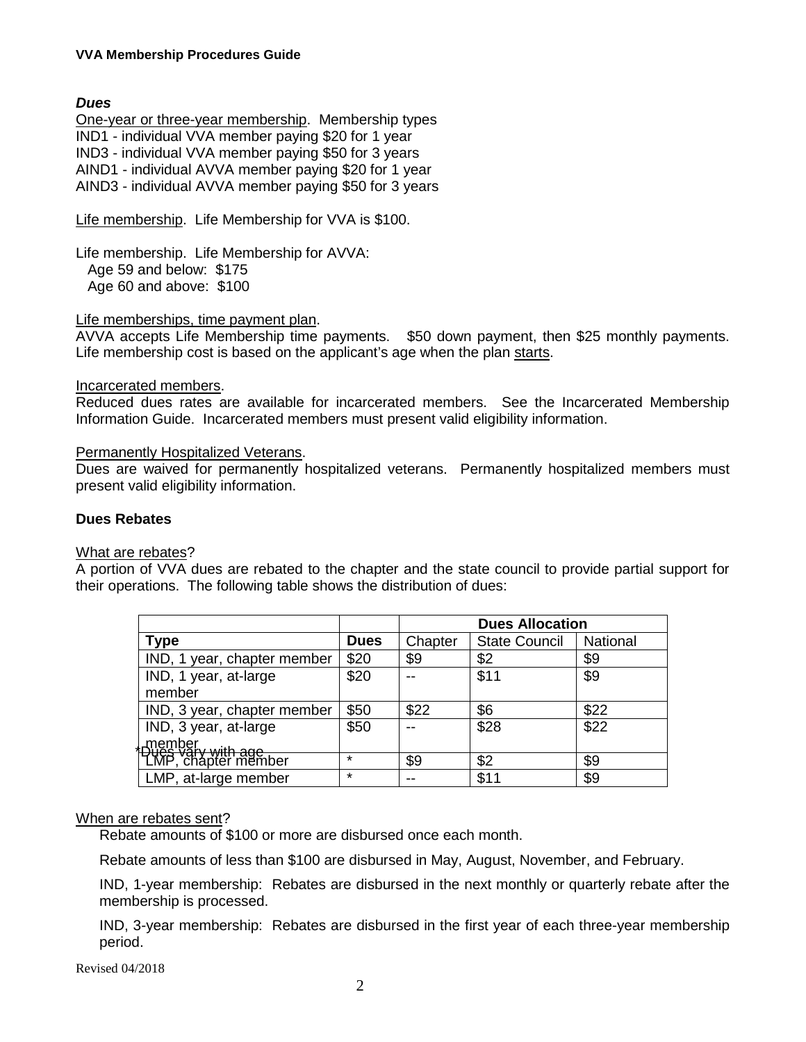## **VVA Membership Procedures Guide**

## *Dues*

One-year or three-year membership. Membership types IND1 - individual VVA member paying \$20 for 1 year IND3 - individual VVA member paying \$50 for 3 years AIND1 - individual AVVA member paying \$20 for 1 year AIND3 - individual AVVA member paying \$50 for 3 years

Life membership. Life Membership for VVA is \$100.

Life membership. Life Membership for AVVA: Age 59 and below: \$175 Age 60 and above: \$100

## Life memberships, time payment plan.

AVVA accepts Life Membership time payments. \$50 down payment, then \$25 monthly payments. Life membership cost is based on the applicant's age when the plan starts.

#### Incarcerated members.

Reduced dues rates are available for incarcerated members. See the Incarcerated Membership Information Guide. Incarcerated members must present valid eligibility information.

#### Permanently Hospitalized Veterans.

Dues are waived for permanently hospitalized veterans. Permanently hospitalized members must present valid eligibility information.

#### **Dues Rebates**

#### What are rebates?

A portion of VVA dues are rebated to the chapter and the state council to provide partial support for their operations. The following table shows the distribution of dues:

|                                                           |         | <b>Dues Allocation</b> |                      |          |
|-----------------------------------------------------------|---------|------------------------|----------------------|----------|
| <b>Type</b>                                               | Dues    | Chapter                | <b>State Council</b> | National |
| IND, 1 year, chapter member                               | \$20    | \$9                    | \$2                  | \$9      |
| IND, 1 year, at-large                                     | \$20    |                        | \$11                 | \$9      |
| member                                                    |         |                        |                      |          |
| IND, 3 year, chapter member                               | \$50    | \$22                   | \$6                  | \$22     |
| IND, 3 year, at-large                                     | \$50    |                        | \$28                 | \$22     |
| <u>. member</u>                                           |         |                        |                      |          |
| <del>Due's vary with age<br/>  LMP</del> , chapter member | $\star$ | \$9                    | \$2                  | \$9      |
| LMP, at-large member                                      | $\star$ |                        | \$11                 | \$9      |

## When are rebates sent?

Rebate amounts of \$100 or more are disbursed once each month.

Rebate amounts of less than \$100 are disbursed in May, August, November, and February.

IND, 1-year membership: Rebates are disbursed in the next monthly or quarterly rebate after the membership is processed.

IND, 3-year membership: Rebates are disbursed in the first year of each three-year membership period.

Revised 04/2018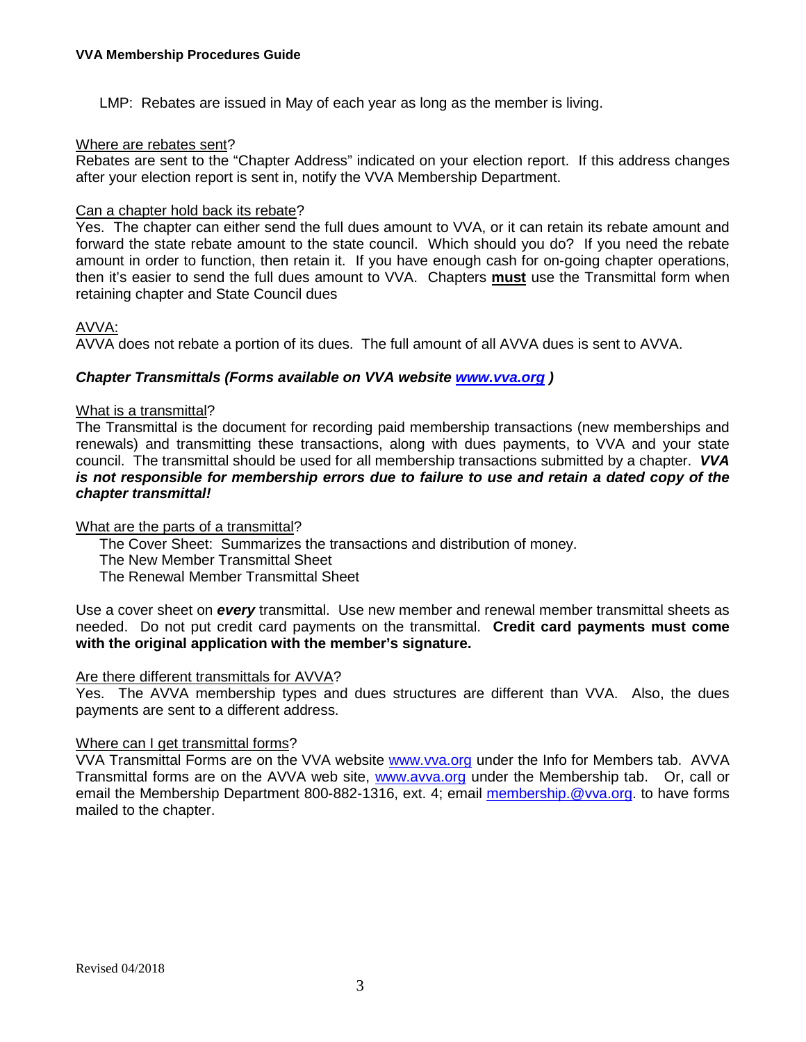LMP: Rebates are issued in May of each year as long as the member is living.

## Where are rebates sent?

Rebates are sent to the "Chapter Address" indicated on your election report. If this address changes after your election report is sent in, notify the VVA Membership Department.

## Can a chapter hold back its rebate?

Yes. The chapter can either send the full dues amount to VVA, or it can retain its rebate amount and forward the state rebate amount to the state council. Which should you do? If you need the rebate amount in order to function, then retain it. If you have enough cash for on-going chapter operations, then it's easier to send the full dues amount to VVA. Chapters **must** use the Transmittal form when retaining chapter and State Council dues

# AVVA:

AVVA does not rebate a portion of its dues. The full amount of all AVVA dues is sent to AVVA.

# *Chapter Transmittals (Forms available on VVA website [www.vva.org](http://www.vva.org/) )*

## What is a transmittal?

The Transmittal is the document for recording paid membership transactions (new memberships and renewals) and transmitting these transactions, along with dues payments, to VVA and your state council. The transmittal should be used for all membership transactions submitted by a chapter. *VVA is not responsible for membership errors due to failure to use and retain a dated copy of the chapter transmittal!*

## What are the parts of a transmittal?

The Cover Sheet: Summarizes the transactions and distribution of money. The New Member Transmittal Sheet The Renewal Member Transmittal Sheet

Use a cover sheet on *every* transmittal. Use new member and renewal member transmittal sheets as needed. Do not put credit card payments on the transmittal. **Credit card payments must come with the original application with the member's signature.**

## Are there different transmittals for AVVA?

Yes. The AVVA membership types and dues structures are different than VVA. Also, the dues payments are sent to a different address.

# Where can I get transmittal forms?

VVA Transmittal Forms are on the VVA website [www.vva.org](http://www.vva.org/) under the Info for Members tab. AVVA Transmittal forms are on the AVVA web site, [www.avva.org](http://www.avva.org/) under the Membership tab. Or, call or email the Membership Department 800-882-1316, ext. 4; email [membership.@vva.org.](mailto:membership.@vva.org) to have forms mailed to the chapter.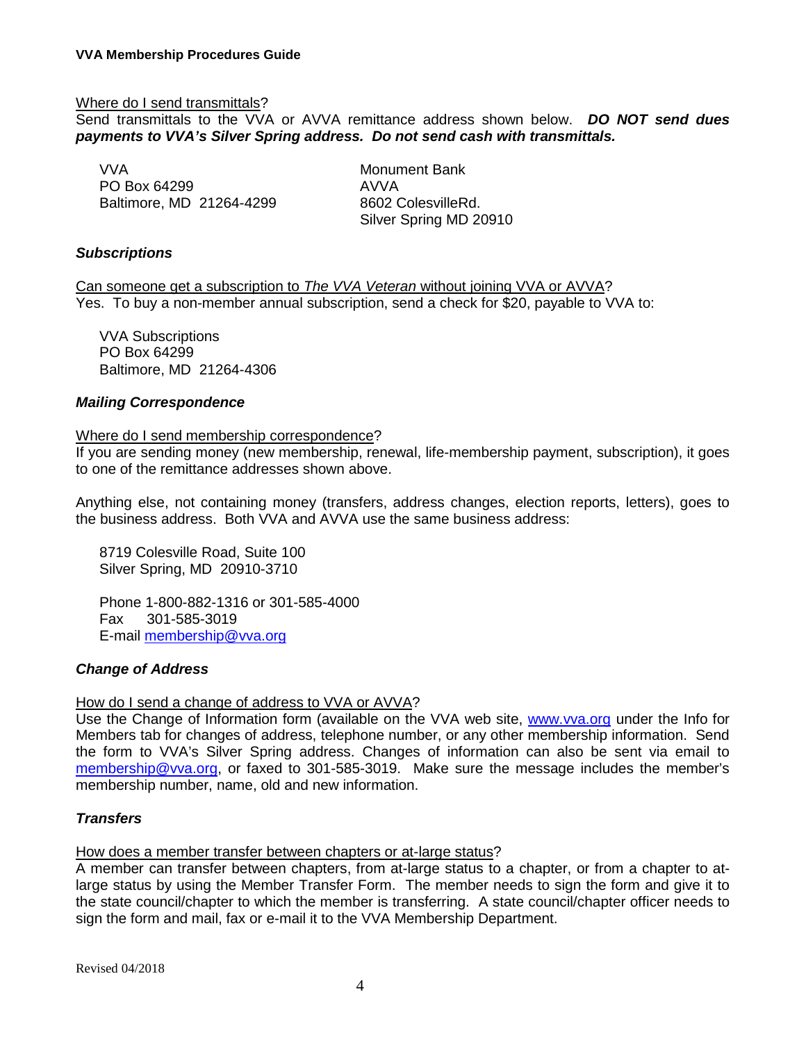## Where do I send transmittals?

Send transmittals to the VVA or AVVA remittance address shown below. *DO NOT send dues payments to VVA's Silver Spring address. Do not send cash with transmittals.*

VVA Monument Bank PO Box 64299<br>
Baltimore, MD 21264-4299 8602 ColesvilleRd. Baltimore, MD 21264-4299

Silver Spring MD 20910

## *Subscriptions*

Can someone get a subscription to *The VVA Veteran* without joining VVA or AVVA? Yes. To buy a non-member annual subscription, send a check for \$20, payable to VVA to:

VVA Subscriptions PO Box 64299 Baltimore, MD 21264-4306

## *Mailing Correspondence*

## Where do I send membership correspondence?

If you are sending money (new membership, renewal, life-membership payment, subscription), it goes to one of the remittance addresses shown above.

Anything else, not containing money (transfers, address changes, election reports, letters), goes to the business address. Both VVA and AVVA use the same business address:

8719 Colesville Road, Suite 100 Silver Spring, MD 20910-3710

Phone 1-800-882-1316 or 301-585-4000 Fax 301-585-3019 E-mail [membership@vva.org](mailto:membership@vva.org)

## *Change of Address*

## How do I send a change of address to VVA or AVVA?

Use the Change of Information form (available on the VVA web site, [www.vva.org](http://www.vva.org/) under the Info for Members tab for changes of address, telephone number, or any other membership information. Send the form to VVA's Silver Spring address. Changes of information can also be sent via email to [membership@vva.org,](mailto:membership@vva.org) or faxed to 301-585-3019. Make sure the message includes the member's membership number, name, old and new information.

## *Transfers*

## How does a member transfer between chapters or at-large status?

A member can transfer between chapters, from at-large status to a chapter, or from a chapter to atlarge status by using the Member Transfer Form. The member needs to sign the form and give it to the state council/chapter to which the member is transferring. A state council/chapter officer needs to sign the form and mail, fax or e-mail it to the VVA Membership Department.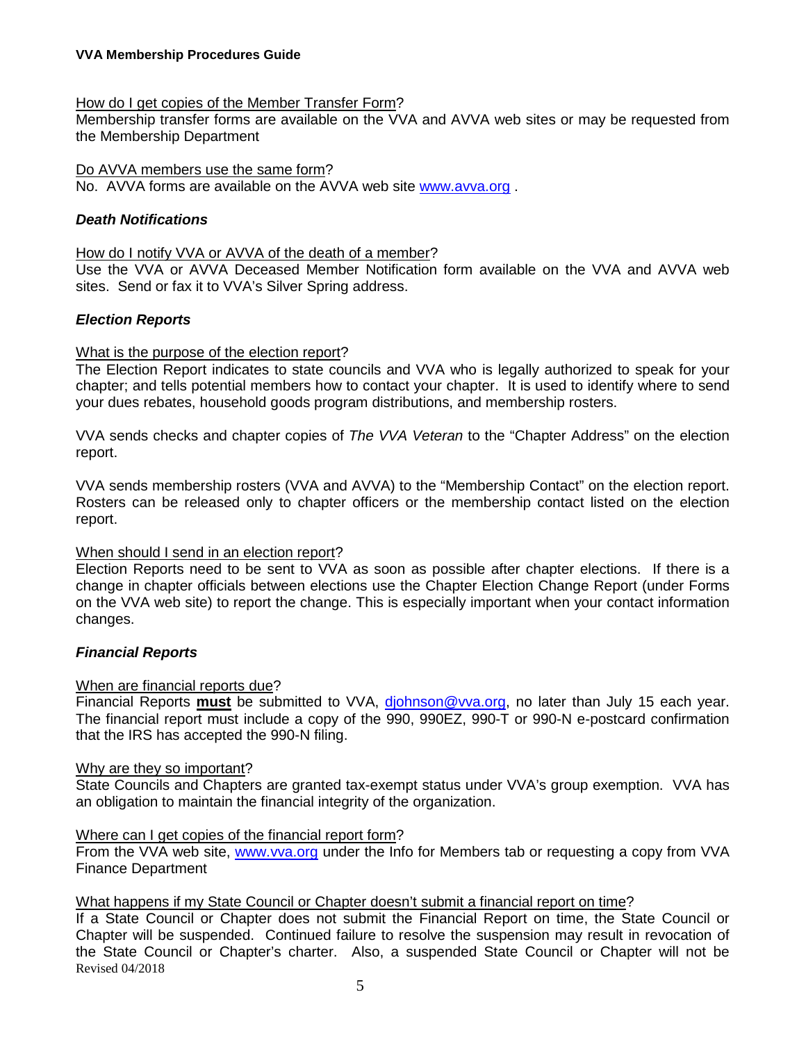## How do I get copies of the Member Transfer Form?

Membership transfer forms are available on the VVA and AVVA web sites or may be requested from the Membership Department

#### Do AVVA members use the same form?

No. AVVA forms are available on the AVVA web site [www.avva.org](http://www.avva.org/) .

## *Death Notifications*

## How do I notify VVA or AVVA of the death of a member?

Use the VVA or AVVA Deceased Member Notification form available on the VVA and AVVA web sites. Send or fax it to VVA's Silver Spring address.

## *Election Reports*

## What is the purpose of the election report?

The Election Report indicates to state councils and VVA who is legally authorized to speak for your chapter; and tells potential members how to contact your chapter. It is used to identify where to send your dues rebates, household goods program distributions, and membership rosters.

VVA sends checks and chapter copies of *The VVA Veteran* to the "Chapter Address" on the election report.

VVA sends membership rosters (VVA and AVVA) to the "Membership Contact" on the election report. Rosters can be released only to chapter officers or the membership contact listed on the election report.

## When should I send in an election report?

Election Reports need to be sent to VVA as soon as possible after chapter elections. If there is a change in chapter officials between elections use the Chapter Election Change Report (under Forms on the VVA web site) to report the change. This is especially important when your contact information changes.

## *Financial Reports*

## When are financial reports due?

Financial Reports **must** be submitted to VVA, [djohnson@vva.org,](mailto:djohnson@vva.org) no later than July 15 each year. The financial report must include a copy of the 990, 990EZ, 990-T or 990-N e-postcard confirmation that the IRS has accepted the 990-N filing.

## Why are they so important?

State Councils and Chapters are granted tax-exempt status under VVA's group exemption. VVA has an obligation to maintain the financial integrity of the organization.

## Where can I get copies of the financial report form?

From the VVA web site, [www.vva.org](http://www.vva.org/) under the Info for Members tab or requesting a copy from VVA Finance Department

## What happens if my State Council or Chapter doesn't submit a financial report on time?

Revised 04/2018 If a State Council or Chapter does not submit the Financial Report on time, the State Council or Chapter will be suspended. Continued failure to resolve the suspension may result in revocation of the State Council or Chapter's charter. Also, a suspended State Council or Chapter will not be